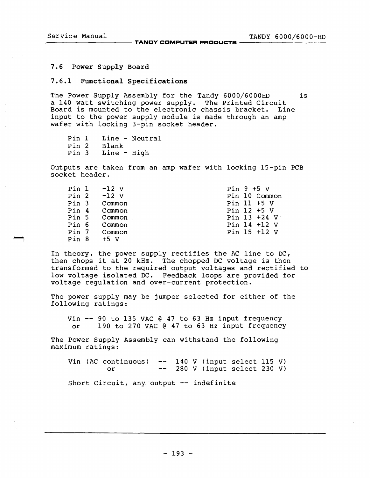# 7.6 Power Supply Board

### 7.6.1 Functional Specifications

The Power Supply Assembly for the Tandy 6000/6000HD is a 140 watt switching power supply. The Printed Circuit<br>Board is mounted to the electronic chassis bracket. Line Board is mounted to the electronic chassis bracket. input to the power supply module is made through an amp wafer with locking 3-pin socket header.

Pin 1 Line - Neutral<br>Pin 2 Blank Pin 2 Blank<br>Pin 3 Line - $Line - High$ 

Outputs are taken from an amp wafer with locking 15-pin PCB socket header.

| Pin 1            | $-12$ V | Pin $9 + 5$ V   |
|------------------|---------|-----------------|
| Pin <sub>2</sub> | $-12$ V | Pin 10 Common   |
| Pin 3            | Common  | Pin 11 $+5$ V   |
| Pin 4            | Common  | Pin 12 +5 V     |
| Pin 5            | Common  | Pin $13 + 24$ V |
| Pin 6            | Common  | Pin $14 + 12$ V |
| Pin 7            | Common  | Pin 15 +12 V    |
| Pin 8            | +5 V    |                 |

In theory, the power supply rectifies the AC line to DC, then chops it at 20 kHz. The chopped DC voltage is then transformed to the required output voltages and rectified to low voltage isolated DC. Feedback loops are provided for voltage regulation and over-current protection.

The power supply may be jumper selected for either of the following ratings:

Vin  $-$  90 to 135 VAC @ 47 to 63 Hz input frequency<br>or 190 to 270 VAC @ 47 to 63 Hz input frequency 190 to 270 VAC @ 47 to 63 Hz input frequency

The Power Supply Assembly can withstand the following maximum ratings:

Vin (AC continuous)  $--$  140 V (input select 115 V) 280 V (input select 230 V) or  $\frac{1}{2} \frac{1}{2} \frac{1}{2} \frac{1}{2} \frac{1}{2} \frac{1}{2} \frac{1}{2} \frac{1}{2} \frac{1}{2} \frac{1}{2} \frac{1}{2} \frac{1}{2} \frac{1}{2} \frac{1}{2} \frac{1}{2} \frac{1}{2} \frac{1}{2} \frac{1}{2} \frac{1}{2} \frac{1}{2} \frac{1}{2} \frac{1}{2} \frac{1}{2} \frac{1}{2} \frac{1}{2} \frac{1}{2} \frac{1}{2} \frac{1}{2} \frac{1}{2} \frac{1}{2} \frac{1}{2} \frac{$ Short Circuit, any output -- indefinite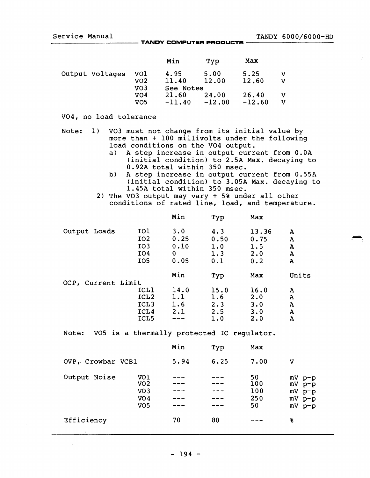$\rightarrow$ 

Service Manual TANDY COMPUTER PRODUCTS TANDY 6000/6000-HD

|                 |     | Min       | Tvp      | Max      |   |
|-----------------|-----|-----------|----------|----------|---|
| Output Voltages | vol | 4.95      | 5.00     | 5.25     |   |
|                 | VO2 | 11.40     | 12.00    | 12.60    | v |
|                 | VO3 | See Notes |          |          |   |
|                 | vo4 | 21.60     | 24.00    | 26.40    | v |
|                 | VO5 | $-11.40$  | $-12.00$ | $-12.60$ | v |

### V04, no load tolerance

- Note: 1) V03 must not change from its initial value by more than + 100 millivolts under the following load conditions on the VO4 output.<br>a) A step increase in output curr
	- a) A step increase in output current from O.OA (initial condition) to 2.5A Max. decaying to 0.92A total within 350 msec.
	- b) A step increase in output current from 0.55A (initial condition) to 3.05A Max. decaying to 1.45A total within 350 msec.
	- 2) The V03 output may vary + 5% under all other conditions of rated line, load, and temperature.

|                    |                  | Min  | Typ  | Max   |              |
|--------------------|------------------|------|------|-------|--------------|
| Output Loads       | <b>IO1</b>       | 3.0  | 4.3  | 13.36 | A            |
|                    | IO <sub>2</sub>  | 0.25 | 0.50 | 0.75  | A            |
|                    | IO <sub>3</sub>  | 0.10 | 1.0  | 1.5   | A            |
|                    | IO4              | 0    | 1.3  | 2.0   | $\mathbf{A}$ |
|                    | IO <sub>5</sub>  | 0.05 | 0.1  | 0.2   | A            |
|                    |                  | Min  | Typ  | Max   | Units        |
| OCP, Current Limit |                  |      |      |       |              |
|                    | ICL1             | 14.0 | 15.0 | 16.0  | А            |
|                    | ICL <sub>2</sub> | 1.1  | 1.6  | 2.0   | A            |
|                    | ICL <sub>3</sub> | 1.6  | 2.3  | 3.0   | A            |
|                    | ICL4             | 2.1  | 2.5  | 3.0   | A            |
|                    | ICL <sub>5</sub> |      | 1.0  | 2.0   | A            |

Note: VO5 is a thermally protected IC regulator.

|                   |                                                                                 | Min  | Typ  | Max                           |                                                                                  |
|-------------------|---------------------------------------------------------------------------------|------|------|-------------------------------|----------------------------------------------------------------------------------|
| OVP, Crowbar VCB1 | 5.94                                                                            | 6.25 | 7.00 | v                             |                                                                                  |
| Output Noise      | VO1<br>VO <sub>2</sub><br>VO <sub>3</sub><br>VO <sub>4</sub><br>VO <sub>5</sub> |      |      | 50<br>100<br>100<br>250<br>50 | $MV$ $p-p$<br>$mV$ $\bar{p} - \bar{p}$<br>$mV$ $p-p$<br>$mV$ $p-p$<br>$mV$ $p-p$ |
| Efficiency        |                                                                                 | 70   | 80   |                               | 8                                                                                |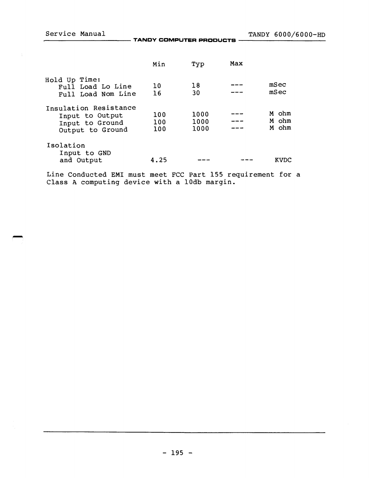Service Manual TANDY 6000/6000-HD ----------- **TANDY CDMPUTER PRDDUCTS** -----------

|                                                                                 | Min               | Typ                  | Max |                         |
|---------------------------------------------------------------------------------|-------------------|----------------------|-----|-------------------------|
| Hold Up Time:<br>Full Load Lo Line<br>Full Load Nom Line                        | 10<br>16          | 18<br>30             |     | mSec<br>mSec            |
| Insulation Resistance<br>Input to Output<br>Input to Ground<br>Output to Ground | 100<br>100<br>100 | 1000<br>1000<br>1000 |     | M ohm<br>M ohm<br>M ohm |
| Isolation<br>Input to GND<br>and Output                                         | 4.25              |                      |     | KVDC                    |

Line Conducted EMI must meet FCC Part 155 requirement for a Class A computing device with a 10db margin.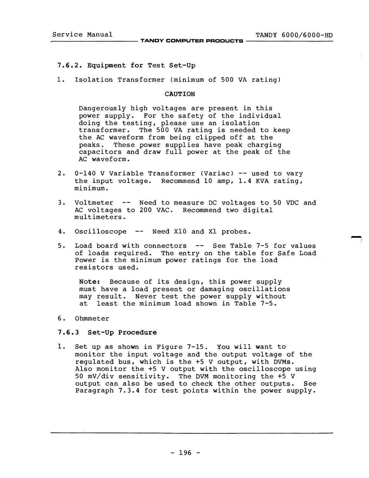# 7.6.2. Equipment for Test Set-up

1. Isolation Transformer (minimum of 500 VA rating)

# CAUTION

Dangerously high voltages are present in this<br>power supply. For the safety of the individue For the safety of the individual doing the testing, please use an isolation transformer. The 500 VA rating is needed to keep the AC waveform from being clipped off at the peaks. These power supplies have peak charging capacitors and draw full power at the peak of the AC waveform.

- 2. 0-140 V Variable Transformer (Variac) -- used to vary the input voltage. Recommend 10 amp, 1.4 KVA rating, minimum.
- 3. Voltmeter -- Need to measure DC voltages to 50 VDC and AC voltages to 200 VAC. Recommend two digital multimeters.
- 4. Oscilloscope -- Need X10 and X1 probes.
- 5. Load board with connectors  $-$  See Table 7-5 for values of loads required. The entry on the table for Safe Load Power is the minimum power ratings for the load resistors used.

Note: Because of its design, this power supply must have a load present or damaging oscillations may result. Never test the power supply without at least the minimum load shown in Table 7-5.

6. Ohmmeter

# 7.6.3 Set-Up Procedure

1. Set up as shown in Figure 7-15. You will want to monitor the input voltage and the output voltage of the regulated bus, which is the +5 V output, with DVMs. Also monitor the +5 V output with the oscilloscope using 50 mV/div sensitivity. The DVM monitoring the +5 V output can also be used to check the other outputs. See Paragraph 7.3.4 for test points within the power supply.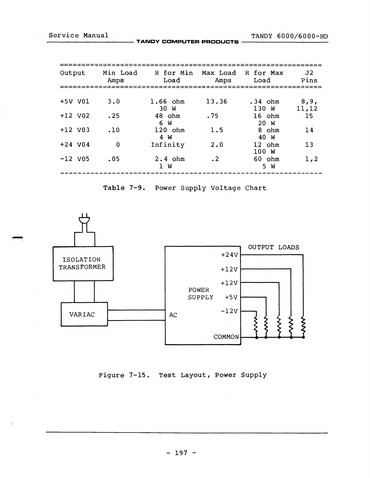$\overline{\phantom{a}}$ 

Service Manual TANDY 6000/6000-HD ----------- **TANDY COMPUTER PRODUCTS** -----------

| Output    | Min Load<br>Amps | R for Min Max Load R for Max<br>Load | Amps      | Load               | J2<br>Pins     |
|-----------|------------------|--------------------------------------|-----------|--------------------|----------------|
|           |                  |                                      |           |                    |                |
| +5V V01   | 3.0              | $1.66$ ohm<br>30 W                   | 13.36     | $.34$ ohm<br>130 W | 8, 9,<br>11,12 |
| $+12$ V02 | .25              | 48 ohm<br>6 W                        | .75       | $16$ ohm<br>20 W   | 15             |
| $+12$ V03 | .10              | $120$ ohm<br>4 W                     | 1.5       | 8 ohm<br>40 W      | 14             |
| $+24$ V04 | $\mathbf{0}$     | Infinity                             | 2.0       | $12$ ohm<br>100W   | 13             |
| $-12$ V05 | .05              | $2.4$ ohm<br>W<br>$\mathbf{1}$       | $\cdot$ 2 | 60 ohm<br>5 W      | 1, 2           |

Table 7-9. Power Supply Voltage Chart



Figure 7-15. Test Layout, Power Supply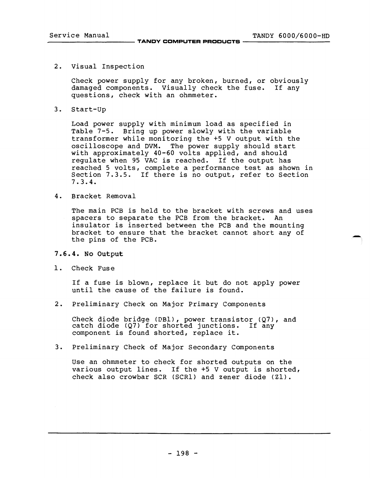2. Visual Inspection

Check power supply for any broken, burned, or obviously damaged components. Visually check the fuse. If any questions, check with an ohmmeter.

3. Start-up

Load power supply with minimum load as specified in Table 7-5. Bring up power slowly with the variable transformer while monitoring the +5 V output with the oscilloscope and DVM. The power supply should start with approximately 40-60 volts applied, and should regulate when 95 VAC is reached. If the output has reached 5 volts, complete a performance test as shown in Section 7.3.5. If there is no output, refer to Section 7.3.4.

4. Bracket Removal

The main PCB is held to the bracket with screws and uses spacers to separate the PCB from the bracket. An insulator is inserted between the PCB and the mounting bracket to ensure that the bracket cannot short any of the pins of the PCB.

# 7.6.4. No Output

1. Check Fuse

If a fuse is blown, replace it but do not apply power until the cause of the failure is found.

2. Preliminary Check on Major Primary Components

Check diode bridge (DB1), power transistor (Q7), and catch diode (Q7) for shorted junctions. If any component is found shorted, replace it.

3. Preliminary Check of Major Secondary Components

Use an ohmmeter to check for shorted outputs on the various output lines. If the +5 V output is shorted, check also crowbar SCR (SCR1) and zener diode (Zl).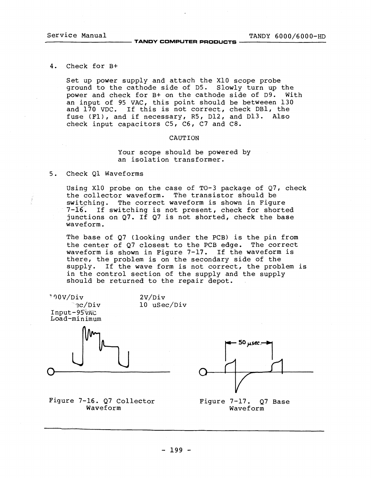# Service Manual TANDY 6000/6000-HD -----------**TANDY COMPUTER PRODUCTS** -----------

#### 4. Check for B+

Set up power supply and attach the XIO scope probe ground to the cathode side of D5. Slowly turn up the power and check for B+ on the cathode side of D9. With an input of 95 VAC, this point should be betweeen 130 and 170 VDC. If this is not correct, check DBl, the fuse (Fl), and if necessary, R5, D12, and D13. Also check input capacitors  $C5$ ,  $C6$ ,  $C7$  and  $C8$ .

### CAUTION

# Your scope should be powered by an isolation transformer.

# 5. Check Ql Waveforms

Using X10 probe on the case of  $T0-3$  package of  $Q7$ , check the collector waveform. The transistor should be switching. The correct waveform is shown in Figure 7-16. If switching is not present, check for shorted junctions on Q7. If Q7 is not shorted, check the base waveform.

The base of  $Q7$  (looking under the PCB) is the pin from the center of Q7 closest to the PCB edge. The correct waveform is shown in Figure 7-17. If the waveform is there, the problem is on the secondary side of the supply. If the wave form is not correct, the problem is in the control section of the supply and the supply should be returned to the repair depot.

2V/Div

10 uSec/Div

~00V/Div  $\Im c/Div$  $Input-95$   $VAC$ Load-minimum



Figure 7-16. Q7 Collector Waveform



Figure 7-17. Q7 Base Waveform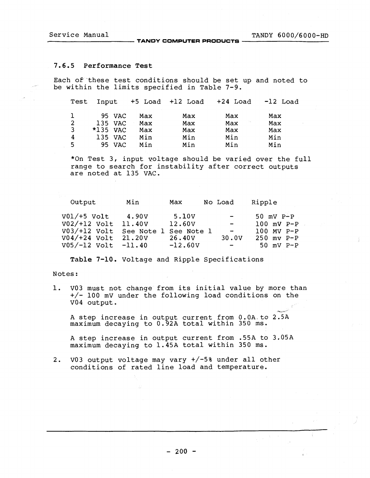# Service Manual TANDY 6000/6000-HD ----------- **TANDY COMPUTER PRODUCTS** -----------

### 7.6.5 Performance Test

Each of these test conditions should be set up and noted to be within the limits specified in Table 7-9.

| Test Input     |            |         |     | +5 Load +12 Load |             | $+24$ Load $-12$ Load |
|----------------|------------|---------|-----|------------------|-------------|-----------------------|
| $\mathbf{I}$   |            | 95 VAC  | Max | Max              | Max         | Max                   |
| 2              |            | 135 VAC | Max | Max              | in g<br>Max | Max                   |
| $\overline{3}$ | $*135$ VAC |         | Max | Max              | Max         | Max                   |
| $\overline{4}$ |            | 135 VAC | Min | Min              | Min         | Min                   |
| 5              |            | 95 VAC  | Min | Min              | Min         | Min                   |

\*On Test 3, input voltage should be varied over the full range to search for instability after correct outputs are noted at 135 VAC.

| Output                             | Min    | Max               | No Load                 | Ripple         |
|------------------------------------|--------|-------------------|-------------------------|----------------|
| V01/+5 Volt                        | 4.90V  | 5.10 <sub>V</sub> | $\sim$ $\sim$           | $50$ mV $P-P$  |
| V02/+12 Volt                       | 11.40V | 12.60V            | $\sim 100$ km s $^{-1}$ | $100$ mV $P-P$ |
| V03/+12 Volt See Note 1 See Note 1 |        |                   | $\sim$ $\sim$           | $100$ MV P-P   |
| V04/+24 Volt 21.20V                |        | 26.40V            | 30.0V                   | $250$ mv $P-P$ |
| V05/-12 Volt -11.40                |        | $-12.60V$         | $\sim$ $\sim$           | $50$ mV $P-P$  |

Table 7-10. Voltage and Ripple Specifications

# Notes:

1. V03 must not change from its initial value by more than +/- 100 mV under the following load conditions on the V04 output.

A step increase in output current from O.DA.to 2.SA maximum decaying to 0.92A total within 350 ms.

A step increase in output current from .55A to 3.05A maximum decaying to 1.45A total within 350 ms.

2. V03 output voltage may vary +/-5% under all other conditions of rated line load and temperature.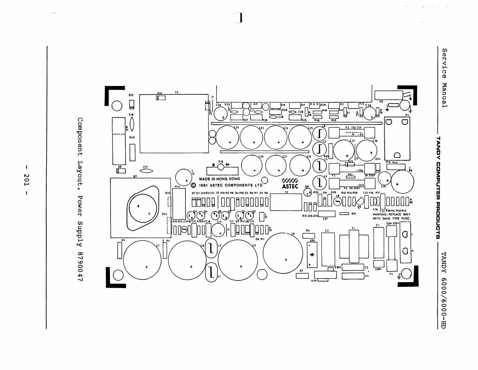$\Omega$ 0  $\leq$ .&;:.



 $\bigcap$ 

 $\mathbf{I}$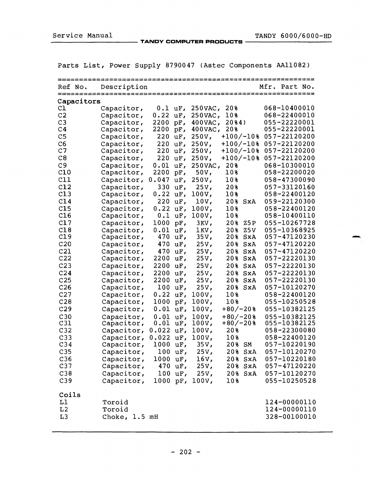Service Manual TANDY COMPUTER PRODUCTS TANDY 6000/6000-HD

Parts List, Power Supply 8790047 (Astec Components AAII082)

| =======<br>================================ |               |            |           |                                      |                    |                              |  |
|---------------------------------------------|---------------|------------|-----------|--------------------------------------|--------------------|------------------------------|--|
| Ref No.                                     | Description   |            |           |                                      |                    | Mfr. Part No.                |  |
| Capacitors                                  |               |            |           |                                      |                    |                              |  |
| C1                                          | Capacitor,    | $0.1$ uF,  |           | $250$ VAC,                           | 20%                | 068-10400010                 |  |
| C <sub>2</sub>                              | Capacitor,    | 0.22       | $uF$ ,    | 250 VAC,                             | 10%                | 068-22400010                 |  |
| C <sub>3</sub>                              | Capacitor,    | 2200       | $pF$ ,    | $400$ VAC,                           | 2084)              | 055-22220001                 |  |
| C <sub>4</sub>                              | Capacitor,    | 2200       | $pF$ ,    | $400$ VAC,                           | 20%                | 055-22220001                 |  |
| C <sub>5</sub>                              | Capacitor,    | 220        | $uF$ ,    | $250V$ ,                             | $+100/-10$ %       | 057-22120200                 |  |
| C6                                          | Capacitor,    | 220        | $uF$ ,    | $250V$ ,                             | $+100/-10$ &       | 057-22120200                 |  |
| C <sub>7</sub>                              | Capacitor,    | 220        | $uF$ ,    | 250V,                                | $+100/-10$ &       | 057-22120200                 |  |
| C8                                          | Capacitor,    | 220        | $uF$ ,    | 250V,                                | $+100/-10$ &       | 057-22120200                 |  |
| C9                                          | Capacitor,    | 0.01       | uF,       | 250 VAC,                             | 20%                | 068-10300010                 |  |
| C10                                         | Capacitor,    | 2200       | $pF$ ,    | 50V,                                 | 10%                | 058-22200020                 |  |
| C11                                         | Capacitor,    | 0.047      | $uF$ ,    | 250V,                                | 10%                | 058-47300090                 |  |
| C12                                         | Capacitor,    | 330        | $uF$ ,    | $25V$ ,                              | 20%                | 057-33120160                 |  |
| C13                                         | Capacitor,    | 0.22       | $uF$ ,    | 100V,                                | 10%                | 058-22400120                 |  |
| C14                                         | Capacitor,    | 220        | $uF$ ,    | 10V,                                 | 20%<br>SxA         | 059-22120300                 |  |
| C15                                         | Capacitor,    | 0.22       | $uF$ ,    | 100V,                                | 10%                | 058-22400120                 |  |
| C16                                         | Capacitor,    | 0.1        | $uF$ ,    | 100V,                                | $10\,$             | 058-10400110                 |  |
| C17                                         | Capacitor,    | 1000       | $pF$ ,    | $3KV$ ,                              | 20%<br><b>Z5P</b>  | 055-10267728                 |  |
| C18                                         | Capacitor,    | 0.01       | uF,       | lKV,                                 | 20%<br>25 V        | 055-10368925                 |  |
| C19                                         | Capacitor,    | 470        | $uF$ ,    | 35V,                                 | 20%<br>SxA         | 057-47120230                 |  |
| C <sub>20</sub>                             | Capacitor,    | 470        | $uF$ ,    | 25V,                                 | 20%<br>SxA         | 057-47120220                 |  |
| C21                                         | Capacitor,    | 470        | $uF$ ,    | 25V,                                 | 20%<br>SxA         | 057-47120220                 |  |
| C22                                         | Capacitor,    | 2200       | $uF$ ,    | 25V,                                 | 20%<br>SxA         | 057-22220130                 |  |
| C <sub>23</sub>                             | Capacitor,    | 2200       | $uF$ ,    | 25V <sub>1</sub>                     | 20%<br>SxA         | 057-22220130                 |  |
| C <sub>24</sub>                             | Capacitor,    | 2200       | $uF$ ,    | 25V,                                 | 20%<br>SxA         | 057-22220130                 |  |
| C <sub>25</sub>                             | Capacitor,    | 2200       | $uF$ ,    | 25V <sub>1</sub>                     | 20%<br>SxA         | 057-22220130                 |  |
| C <sub>26</sub>                             | Capacitor,    | 100        | $uF$ ,    | 25V <sub>1</sub>                     | 20%<br>SxA         | 057-10120270                 |  |
| C27                                         | Capacitor,    | 0.22       | $uF$ ,    | 100V,                                | 10%                | 058-22400120                 |  |
| C <sub>28</sub>                             | Capacitor,    | 1000       | $pF$ ,    | 100V,                                | 10%                | 055-10250528                 |  |
| C <sub>29</sub>                             | Capacitor,    | 0.01       | $uF$ ,    | 100V,                                | $+80/-20%$         | 055-10382125                 |  |
| C30                                         | Capacitor,    | 0.01       | $uF$ ,    | 100V,                                | $+80/-20%$         | 055-10382125                 |  |
| C31                                         | Capacitor,    | 0.01       | $uF$ ,    | 100V,                                | $+80/-20$ %        | 055-10382125                 |  |
| C <sub>32</sub>                             | Capacitor,    | 0.022      | $uF$ ,    | 100V                                 | 20%                | 058-22300080                 |  |
| C <sub>33</sub><br>C <sub>34</sub>          | Capacitor,    | 0.022      | $uF$ ,    | 100V,                                | 10%                | 058-22400120<br>057-10220190 |  |
|                                             | Capacitor,    | $1000$ uF, |           | 35 V,                                | 20% SM             |                              |  |
| C35<br>C <sub>36</sub>                      | Capacitor,    |            | $100$ uF, | 25V                                  | 20% SxA<br>20% SxA | 057-10120270<br>057-10220180 |  |
| C <sub>37</sub>                             | Capacitor,    | $1000$ uF, |           | 16V <sub>1</sub>                     |                    | 057-47120220                 |  |
| C <sub>38</sub>                             | Capacitor,    |            | 470 uF,   | 25V <sub>l</sub><br>25V <sub>1</sub> | $20\$ $SxA$        | 057-10120270                 |  |
|                                             | Capacitor,    |            | $100$ uF, |                                      | $20%$ SxA          |                              |  |
| C <sub>39</sub>                             | Capacitor,    |            |           | 1000 pF, 100V,                       | 10%                | 055-10250528                 |  |
| Coils                                       |               |            |           |                                      |                    |                              |  |
| L1                                          | Toroid        |            |           |                                      |                    | 124-00000110                 |  |
| L <sub>2</sub>                              | Toroid        |            |           |                                      |                    | 124-00000110                 |  |
| L <sub>3</sub>                              | Choke, 1.5 mH |            |           |                                      |                    | 328-00100010                 |  |
|                                             |               |            |           |                                      |                    |                              |  |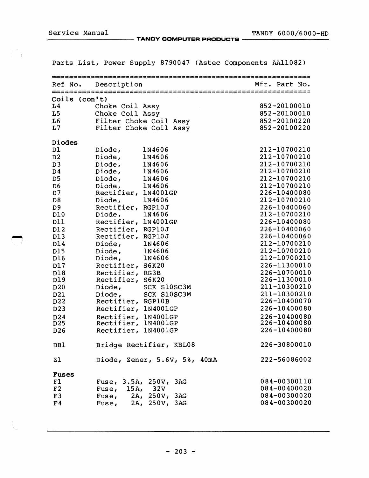Service Manual TANDY COMPUTER PRODUCTS TANDY 6000/6000-HD

|                        | Parts List, Power Supply 8790047 (Astec Components AAll082) |                              |  |
|------------------------|-------------------------------------------------------------|------------------------------|--|
|                        |                                                             |                              |  |
| Ref No.                | Description                                                 | Mfr. Part No.                |  |
| Coils (con't)          |                                                             |                              |  |
| L <sub>4</sub>         | Choke Coil Assy                                             | 852-20100010                 |  |
| L <sub>5</sub>         | Choke Coil Assy                                             | 852-20100010                 |  |
| L6                     | Filter Choke Coil Assy                                      | 852-20100220                 |  |
| L7                     | Filter Choke Coil Assy                                      | 852-20100220                 |  |
| Diodes                 |                                                             |                              |  |
| D1                     | Diode,<br>1N4606                                            | 212-10700210                 |  |
| D <sub>2</sub>         | Diode,<br><b>1N4606</b>                                     | 212-10700210                 |  |
| D <sub>3</sub>         | Diode,<br>1N4606                                            | 212-10700210                 |  |
| D <sub>4</sub>         | Diode,<br>1N4606                                            | 212-10700210                 |  |
| D <sub>5</sub>         | Diode,<br>1N4606                                            | 212-10700210<br>212-10700210 |  |
| D <sub>6</sub><br>D7   | Diode,<br>1N4606<br>Rectifier, 1N4001GP                     | 226-10400080                 |  |
| D <sub>8</sub>         | Diode,<br>1N4606                                            | 212-10700210                 |  |
| D <sub>9</sub>         | Rectifier, RGP10J                                           | 226-10400060                 |  |
| D10                    | 1N4606<br>Diode,                                            | 212-10700210                 |  |
| D11                    | Rectifier, 1N4001GP                                         | 226-10400080                 |  |
| D12                    | Rectifier,<br>RGP10J                                        | 226-10400060                 |  |
| D13                    | Rectifier, RGP10J                                           | 226-10400060                 |  |
| D14                    | Diode,<br>1N4606                                            | 212-10700210                 |  |
| D15                    | Diode,<br>1N4606                                            | 212-10700210                 |  |
| D16                    | Diode,<br>1N4606                                            | 212-10700210                 |  |
| D17                    | Rectifier, S6K20                                            | 226-11300010                 |  |
| D18                    | Rectifier,<br>RG3B                                          | 226-10700010                 |  |
| D19                    | Rectifier, S6K20                                            | 226-11300010                 |  |
| D <sub>20</sub><br>D21 | Diode, SCK S10SC3M                                          | 211-10300210<br>211-10300210 |  |
| D22                    | Diode, SCK S10SC3M<br>Rectifier, RGP10B                     | 226-10400070                 |  |
| D <sub>23</sub>        | Rectifier, 1N4001GP                                         | 226-10400080                 |  |
| D24                    | Rectifier, 1N4001GP                                         | 226-10400080                 |  |
| D <sub>25</sub>        | Rectifier, 1N4001GP                                         | 226-10400080                 |  |
| D <sub>26</sub>        | Rectifier, 1N4001GP                                         | 226-10400080                 |  |
| DB1                    | Bridge Rectifier, KBL08                                     | 226-30800010                 |  |
| Z1                     | Diode, Zener, 5.6V, 5%, 40mA                                | 222-56086002                 |  |
| <b>Fuses</b>           |                                                             |                              |  |
| F1                     | Fuse, 3.5A, 250V, 3AG                                       | 084-00300110                 |  |
| F2                     | Fuse, $15A$ , $32V$                                         | 084-00400020                 |  |
| F3                     | Fuse, $2A$ , $250V$ , $3AG$                                 | 084-00300020                 |  |
| F <sub>4</sub>         | Fuse, 2A, 250V, 3AG                                         | 084-00300020                 |  |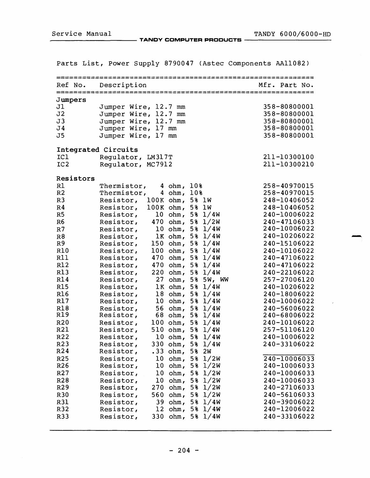Service Manual TANDY COMPUTER PRODUCTS TANDY 6000/6000-HD

|                 |           |                                                      |                    |       |                 | rarts fist, rower supply 0750047 (Astec components AAII0027 |  |
|-----------------|-----------|------------------------------------------------------|--------------------|-------|-----------------|-------------------------------------------------------------|--|
|                 | Ref No.   | Description                                          |                    |       |                 | Mfr. Part No.                                               |  |
|                 | Jumpers   |                                                      |                    |       |                 |                                                             |  |
| J1              |           | Jumper Wire, 12.7 mm                                 |                    |       |                 | 358-80800001                                                |  |
| J2              |           | Jumper Wire, 12.7 mm                                 |                    |       |                 | 358-80800001                                                |  |
| J3              |           | Jumper Wire, 12.7 mm                                 |                    |       |                 | 358-80800001                                                |  |
| J <sub>4</sub>  |           | Jumper Wire, 17 mm                                   |                    |       |                 | 358-80800001                                                |  |
| J5              |           | Jumper Wire, 17 mm                                   |                    |       |                 | 358-80800001                                                |  |
|                 |           | Integrated Circuits                                  |                    |       |                 |                                                             |  |
| ICI             |           | Regulator, LM317T                                    |                    |       |                 | 211-10300100                                                |  |
| IC <sub>2</sub> |           | Regulator, MC7912                                    |                    |       |                 | 211-10300210                                                |  |
|                 | Resistors |                                                      |                    |       |                 |                                                             |  |
| R1              |           | Thermistor,                                          | 4 ohm, 10%         |       |                 | 258-40970015                                                |  |
| R <sub>2</sub>  |           | Thermistor,                                          | 4 ohm, 10%         |       |                 | 258-40970015                                                |  |
| R <sub>3</sub>  |           | Resistor, 100K ohm, 5% lW                            |                    |       |                 | 248-10406052                                                |  |
| R <sub>4</sub>  |           | Resistor, 100K ohm, 5% 1W                            |                    |       |                 | 248-10406052                                                |  |
| R5              |           | Resistor, $10 \text{ ohm}$ , 5% $1/4W$               |                    |       |                 | 240-10006022                                                |  |
| R <sub>6</sub>  |           | Resistor, 470 ohm, 5% 1/2W                           |                    |       |                 | 240-47106033                                                |  |
| R <sub>7</sub>  |           | Resistor, $10 \text{ ohm}$ , 5% $1/4W$               |                    |       |                 | 240-10006022                                                |  |
| R8              |           | Resistor, $\overline{1}K$ ohm, $5\frac{3}{2}$ $1/4W$ |                    |       |                 | 240-10206022                                                |  |
| R <sub>9</sub>  |           | Resistor,                                            | 150 $ohm, 5% 1/4W$ |       |                 | 240-15106022                                                |  |
| R10             |           | Resistor,                                            | 100 ohm, 5% $1/4W$ |       |                 | 240-10106022                                                |  |
| R11             |           | Resistor,                                            | 470 $ohm, 5% 1/4W$ |       |                 | 240-47106022                                                |  |
| R <sub>12</sub> |           | Resistor,                                            | 470 $ohm, 5% 1/4W$ |       |                 | 240-47106022                                                |  |
| <b>R13</b>      |           | Resistor,                                            | 220 $ohm, 5% 1/4W$ |       |                 | 240-22106022                                                |  |
| R14             |           | Resistor, 27 ohm, 5% 5W, WW                          |                    |       |                 | 257-27006120                                                |  |
| <b>R15</b>      |           | Resistor, 1K ohm, 5% 1/4W                            |                    |       |                 | 240-10206022                                                |  |
| <b>R16</b>      |           | Resistor,                                            | 18 ohm, 5% 1/4W    |       |                 | 240-18006022                                                |  |
| R17             |           | Resistor, 10 ohm, 5% 1/4W                            |                    |       |                 | 240-10006022                                                |  |
| R <sub>18</sub> |           | Resistor,                                            | 56 $ohm, 5% 1/4W$  |       |                 | 240-56006022                                                |  |
| R19             |           | Resistor, 68 ohm, 5% 1/4W                            |                    |       |                 | 240-68006022                                                |  |
| R20             |           | Resistor,                                            | 100 ohm, 5% $1/4W$ |       |                 | 240-10106022                                                |  |
| R21             |           | Resistor,                                            | 510 $ohm, 5% 1/4W$ |       |                 | 257-51106120                                                |  |
| R22             |           | Resistor,                                            | 10 ohm, 5% 1/4W    |       |                 | 240-10006022                                                |  |
| R23             |           | Resistor,                                            | 330 $ohm, 5% 1/4W$ |       |                 | 240-33106022                                                |  |
| R <sub>24</sub> |           | Resistor,                                            | $.33$ ohm,         | 5% 2W |                 |                                                             |  |
| R25             |           | Resistor,                                            | 10 $ohm, 5% 1/2W$  |       |                 | 240-10006033                                                |  |
| R <sub>26</sub> |           | Resistor,                                            | 10 $ohm, 5% 1/2W$  |       |                 | 240-10006033                                                |  |
| R <sub>27</sub> |           | Resistor,                                            | 10 $ohm, 5% 1/2W$  |       |                 | 240-10006033                                                |  |
| R28             |           | Resistor,                                            | 10 $ohm, 5% 1/2W$  |       |                 | 240-10006033                                                |  |
| R29             |           | Resistor,                                            | $270$ ohm,         |       | $5\frac{1}{2W}$ | 240-27106033                                                |  |
| R30             |           | Resistor,                                            | 560 $ohm, 5% 1/2W$ |       |                 | 240-56106033                                                |  |
| R31             |           | Resistor,                                            | 39 ohm, 5% 1/4W    |       |                 | 240-39006022                                                |  |
| R32             |           | Resistor,                                            | 12 $ohm, 5% 1/4W$  |       |                 | 240-12006022                                                |  |
| R33             |           | Resistor,                                            | 330 $ohm, 5% 1/4W$ |       |                 | 240-33106022                                                |  |

Parts List, Power Supply 8790047 (Astec Components AAll082)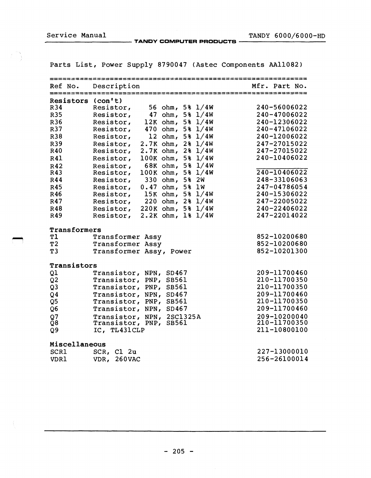Service Manual TANDY COMPUTER PRODUCTS TANDY 6000/6000-HD

Parts List, Power Supply 8790047 (Astec Components AA11082)

|                | -----------------------                        |               |
|----------------|------------------------------------------------|---------------|
| Ref No.        | Description                                    | Mfr. Part No. |
| Resistors      | $(\text{con}^{\dagger}t)$                      |               |
| R34            | 56 $ohm, 5% 1/4W$<br>Resistor,                 | 240-56006022  |
| R35            | 47 $ohm, 5% 1/4W$<br>Resistor,                 | 240-47006022  |
| R36            | $12K$ ohm, 5% $1/4W$<br>Resistor,              | 240-12306022  |
| R37            | 470 $ohm, 5% 1/4W$<br>Resistor,                | 240-47106022  |
| R38            | 12 $ohm, 5% 1/4W$<br>Resistor,                 | 240-12006022  |
| R39            | $2.7K$ ohm, $2\frac{8}{14W}$<br>Resistor,      | 247-27015022  |
| R40            | $2.7K$ ohm, $2\frac{8}{14W}$<br>Resistor,      | 247-27015022  |
| <b>R41</b>     | $100K$ ohm, 5% $1/4W$<br>Resistor,             | 240-10406022  |
| R42            | 68K ohm, 5% 1/4W<br>Resistor,                  |               |
| R43            | $100K$ ohm, 5% $1/4W$<br>Resistor,             | 240-10406022  |
| R44            | 330 ohm, 5% 2W<br>Resistor,                    | 248-33106063  |
| R45            | $0.47$ ohm,<br>5% 1W<br>Resistor,              | 247-04786054  |
| R46            | $15K$ ohm, 5% $1/4W$<br>Resistor,              | 240-15306022  |
| R47            | Resistor,<br>220 $ohm, 2% 1/4W$                | 247-22005022  |
| R48            | $220K$ ohm, 5% $1/4W$<br>Resistor,             | 240-22406022  |
| R49            | $2.2K$ ohm, $1\frac{2}{3}$ $1/4W$<br>Resistor, | 247-22014022  |
| Transformers   |                                                |               |
| T1             | Transformer Assy                               | 852-10200680  |
| T <sub>2</sub> | Transformer Assy                               | 852-10200680  |
| T <sub>3</sub> | Transformer Assy, Power                        | 852-10201300  |
| Transistors    |                                                |               |
| Q1             | Transistor, NPN, SD467                         | 209-11700460  |
| Q <sub>2</sub> | Transistor, PNP, SB561                         | 210-11700350  |
| Q <sub>3</sub> | Transistor, PNP, SB561                         | 210-11700350  |
| Q <sub>4</sub> | Transistor, NPN, SD467                         | 209-11700460  |
| Q <sub>5</sub> | Transistor, PNP, SB561                         | 210-11700350  |
| Q6             | Transistor, NPN, SD467                         | 209-11700460  |
| Q7             | Transistor, NPN, 2SC1325A                      | 209-10200040  |
| Q8             | Transistor, PNP, SB561                         | 210-11700350  |
| Q9             | IC, TL431CLP                                   | 211-10800100  |
| Miscellaneous  |                                                |               |
| <b>SCR1</b>    | SCR, Cl 2u                                     | 227-13000010  |
| <b>VDR1</b>    | <b>260VAC</b><br>VDR,                          | 256-26100014  |